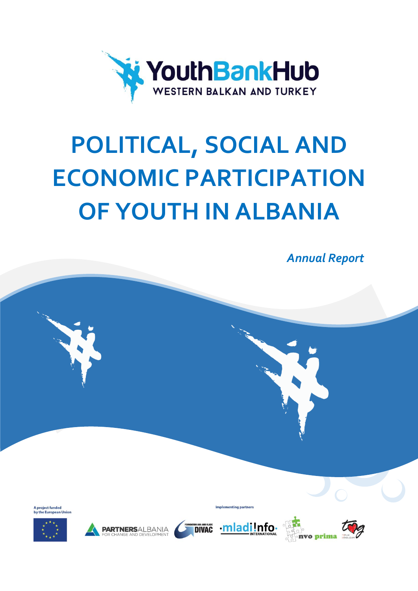

# **POLITICAL, SOCIAL AND ECONOMIC PARTICIPATION OF YOUTH IN ALBANIA**

*Annual Report*

A project funded<br>by the European











Implementing partners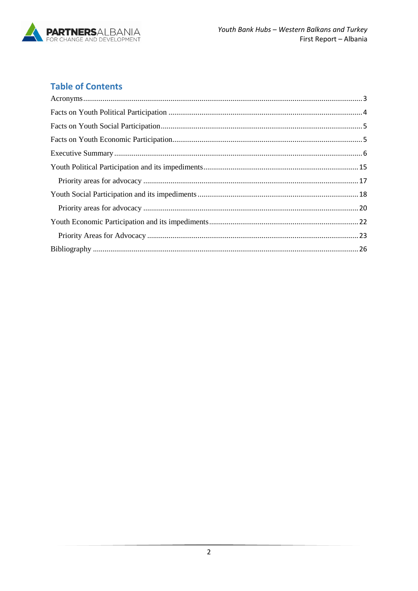

## **Table of Contents**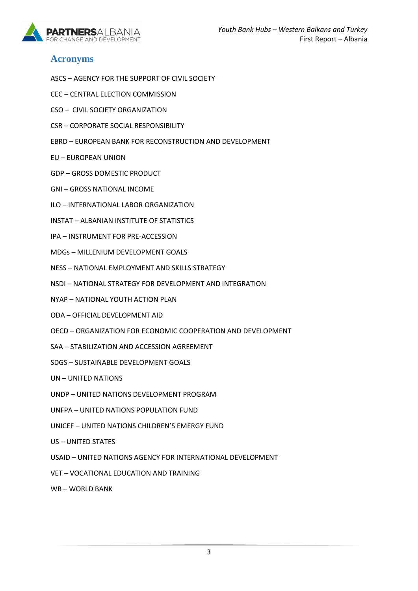

## <span id="page-2-0"></span>**Acronyms**

- ASCS AGENCY FOR THE SUPPORT OF CIVIL SOCIETY
- CEC CENTRAL ELECTION COMMISSION
- CSO CIVIL SOCIETY ORGANIZATION
- CSR CORPORATE SOCIAL RESPONSIBILITY
- EBRD EUROPEAN BANK FOR RECONSTRUCTION AND DEVELOPMENT
- EU EUROPEAN UNION
- GDP GROSS DOMESTIC PRODUCT
- GNI GROSS NATIONAL INCOME
- ILO INTERNATIONAL LABOR ORGANIZATION
- INSTAT ALBANIAN INSTITUTE OF STATISTICS
- IPA INSTRUMENT FOR PRE-ACCESSION
- MDGs MILLENIUM DEVELOPMENT GOALS
- NESS NATIONAL EMPLOYMENT AND SKILLS STRATEGY
- NSDI NATIONAL STRATEGY FOR DEVELOPMENT AND INTEGRATION
- NYAP NATIONAL YOUTH ACTION PLAN
- ODA OFFICIAL DEVELOPMENT AID
- OECD ORGANIZATION FOR ECONOMIC COOPERATION AND DEVELOPMENT
- SAA STABILIZATION AND ACCESSION AGREEMENT
- SDGS SUSTAINABLE DEVELOPMENT GOALS
- UN UNITED NATIONS
- UNDP UNITED NATIONS DEVELOPMENT PROGRAM
- UNFPA UNITED NATIONS POPULATION FUND
- UNICEF UNITED NATIONS CHILDREN'S EMERGY FUND
- US UNITED STATES
- USAID UNITED NATIONS AGENCY FOR INTERNATIONAL DEVELOPMENT
- VET VOCATIONAL EDUCATION AND TRAINING
- WB WORLD BANK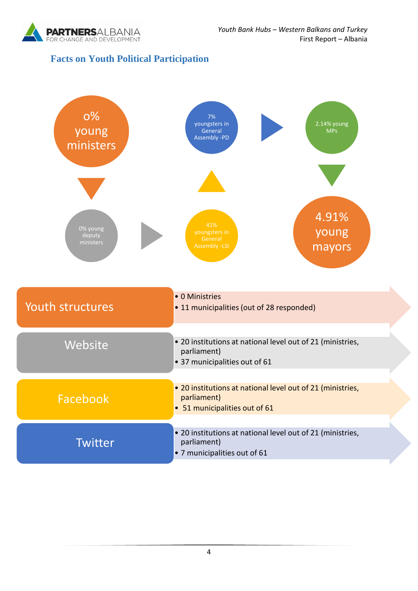

## <span id="page-3-0"></span>**Facts on Youth Political Participation**

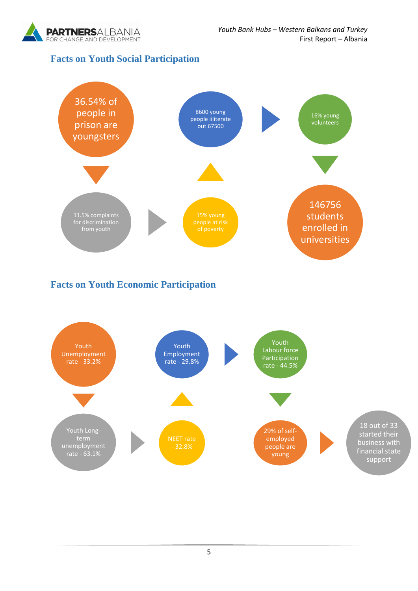

## <span id="page-4-0"></span>**Facts on Youth Social Participation**



## <span id="page-4-1"></span>**Facts on Youth Economic Participation**

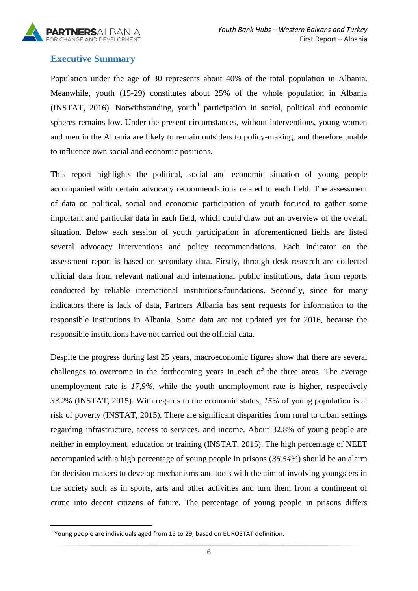

## <span id="page-5-0"></span>**Executive Summary**

Population under the age of 30 represents about 40% of the total population in Albania. Meanwhile, youth (15-29) constitutes about 25% of the whole population in Albania  $(INSTAT, 2016)$ . Notwithstanding, youth<sup>1</sup> participation in social, political and economic spheres remains low. Under the present circumstances, without interventions, young women and men in the Albania are likely to remain outsiders to policy-making, and therefore unable to influence own social and economic positions.

This report highlights the political, social and economic situation of young people accompanied with certain advocacy recommendations related to each field. The assessment of data on political, social and economic participation of youth focused to gather some important and particular data in each field, which could draw out an overview of the overall situation. Below each session of youth participation in aforementioned fields are listed several advocacy interventions and policy recommendations. Each indicator on the assessment report is based on secondary data. Firstly, through desk research are collected official data from relevant national and international public institutions, data from reports conducted by reliable international institutions/foundations. Secondly, since for many indicators there is lack of data, Partners Albania has sent requests for information to the responsible institutions in Albania. Some data are not updated yet for 2016, because the responsible institutions have not carried out the official data.

Despite the progress during last 25 years, macroeconomic figures show that there are several challenges to overcome in the forthcoming years in each of the three areas. The average unemployment rate is *17,9%,* while the youth unemployment rate is higher, respectively *33.2*% (INSTAT, 2015). With regards to the economic status, *15%* of young population is at risk of poverty (INSTAT, 2015). There are significant disparities from rural to urban settings regarding infrastructure, access to services, and income. About 32.8% of young people are neither in employment, education or training (INSTAT, 2015). The high percentage of NEET accompanied with a high percentage of young people in prisons (*36.54%*) should be an alarm for decision makers to develop mechanisms and tools with the aim of involving youngsters in the society such as in sports, arts and other activities and turn them from a contingent of crime into decent citizens of future. The percentage of young people in prisons differs

<sup>1</sup>  $<sup>1</sup>$  Young people are individuals aged from 15 to 29, based on EUROSTAT definition.</sup>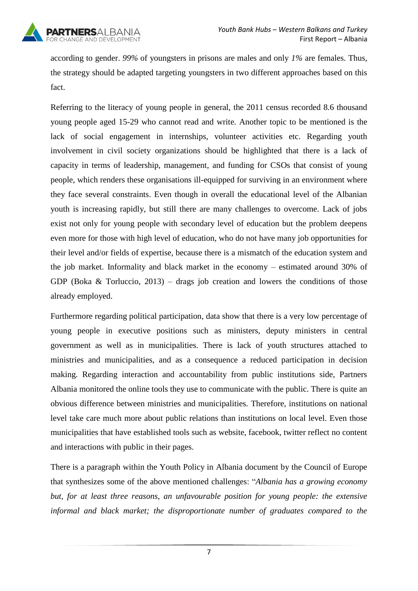

according to gender. *99%* of youngsters in prisons are males and only *1%* are females. Thus, the strategy should be adapted targeting youngsters in two different approaches based on this fact.

Referring to the literacy of young people in general, the 2011 census recorded 8.6 thousand young people aged 15-29 who cannot read and write. Another topic to be mentioned is the lack of social engagement in internships, volunteer activities etc. Regarding youth involvement in civil society organizations should be highlighted that there is a lack of capacity in terms of leadership, management, and funding for CSOs that consist of young people, which renders these organisations ill-equipped for surviving in an environment where they face several constraints. Even though in overall the educational level of the Albanian youth is increasing rapidly, but still there are many challenges to overcome. Lack of jobs exist not only for young people with secondary level of education but the problem deepens even more for those with high level of education, who do not have many job opportunities for their level and/or fields of expertise, because there is a mismatch of the education system and the job market. Informality and black market in the economy – estimated around 30% of GDP (Boka  $\&$  Torluccio, 2013) – drags job creation and lowers the conditions of those already employed.

Furthermore regarding political participation, data show that there is a very low percentage of young people in executive positions such as ministers, deputy ministers in central government as well as in municipalities. There is lack of youth structures attached to ministries and municipalities, and as a consequence a reduced participation in decision making. Regarding interaction and accountability from public institutions side, Partners Albania monitored the online tools they use to communicate with the public. There is quite an obvious difference between ministries and municipalities. Therefore, institutions on national level take care much more about public relations than institutions on local level. Even those municipalities that have established tools such as website, facebook, twitter reflect no content and interactions with public in their pages.

There is a paragraph within the Youth Policy in Albania document by the Council of Europe that synthesizes some of the above mentioned challenges: "*Albania has a growing economy but, for at least three reasons, an unfavourable position for young people: the extensive informal and black market; the disproportionate number of graduates compared to the* 

7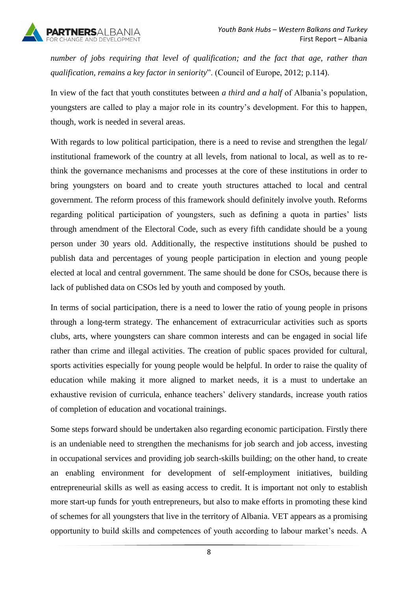

*number of jobs requiring that level of qualification; and the fact that age, rather than qualification, remains a key factor in seniority*". (Council of Europe, 2012; p.114).

In view of the fact that youth constitutes between *a third and a half* of Albania's population, youngsters are called to play a major role in its country's development. For this to happen, though, work is needed in several areas.

With regards to low political participation, there is a need to revise and strengthen the legal/ institutional framework of the country at all levels, from national to local, as well as to rethink the governance mechanisms and processes at the core of these institutions in order to bring youngsters on board and to create youth structures attached to local and central government. The reform process of this framework should definitely involve youth. Reforms regarding political participation of youngsters, such as defining a quota in parties' lists through amendment of the Electoral Code, such as every fifth candidate should be a young person under 30 years old. Additionally, the respective institutions should be pushed to publish data and percentages of young people participation in election and young people elected at local and central government. The same should be done for CSOs, because there is lack of published data on CSOs led by youth and composed by youth.

In terms of social participation, there is a need to lower the ratio of young people in prisons through a long-term strategy. The enhancement of extracurricular activities such as sports clubs, arts, where youngsters can share common interests and can be engaged in social life rather than crime and illegal activities. The creation of public spaces provided for cultural, sports activities especially for young people would be helpful. In order to raise the quality of education while making it more aligned to market needs, it is a must to undertake an exhaustive revision of curricula, enhance teachers' delivery standards, increase youth ratios of completion of education and vocational trainings.

Some steps forward should be undertaken also regarding economic participation. Firstly there is an undeniable need to strengthen the mechanisms for job search and job access, investing in occupational services and providing job search-skills building; on the other hand, to create an enabling environment for development of self-employment initiatives, building entrepreneurial skills as well as easing access to credit. It is important not only to establish more start-up funds for youth entrepreneurs, but also to make efforts in promoting these kind of schemes for all youngsters that live in the territory of Albania. VET appears as a promising opportunity to build skills and competences of youth according to labour market's needs. A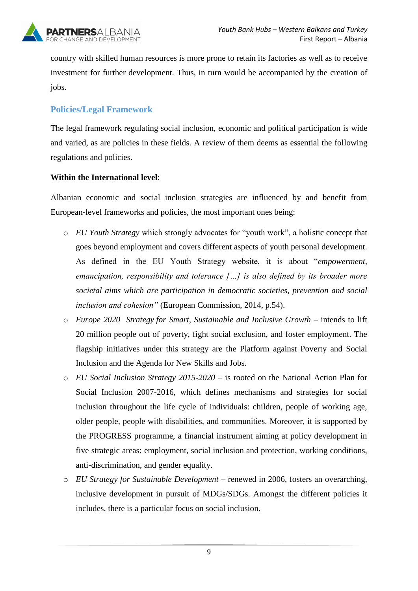

country with skilled human resources is more prone to retain its factories as well as to receive investment for further development. Thus, in turn would be accompanied by the creation of jobs.

## **Policies/Legal Framework**

The legal framework regulating social inclusion, economic and political participation is wide and varied, as are policies in these fields. A review of them deems as essential the following regulations and policies.

#### **Within the International level**:

Albanian economic and social inclusion strategies are influenced by and benefit from European-level frameworks and policies, the most important ones being:

- o *EU Youth Strategy* which strongly advocates for "youth work", a holistic concept that goes beyond employment and covers different aspects of youth personal development. As defined in the EU Youth Strategy website, it is about "*empowerment, emancipation, responsibility and tolerance […] is also defined by its broader more societal aims which are participation in democratic societies, prevention and social inclusion and cohesion"* (European Commission, 2014, p.54).
- o *Europe 2020 [Strategy](http://ec.europa.eu/europe2020/index_en.htm) for Smart, Sustainable and Inclusive Growth* intends to lift 20 million people out of poverty, fight social exclusion, and foster employment. The flagship initiatives under this strategy are the Platform against Poverty and Social Inclusion and the Agenda for New Skills and Jobs.
- o *EU Social Inclusion Strategy 2015-2020 –* is rooted on the National Action Plan for Social Inclusion 2007-2016, which defines mechanisms and strategies for social inclusion throughout the life cycle of individuals: children, people of working age, older people, people with disabilities, and communities. Moreover, it is supported by the PROGRESS programme, a financial instrument aiming at policy development in five strategic areas: employment, social inclusion and protection, working conditions, anti-discrimination, and gender equality.
- o *EU Strategy for Sustainable Development* renewed in 2006, fosters an overarching, inclusive development in pursuit of MDGs/SDGs. Amongst the different policies it includes, there is a particular focus on social inclusion.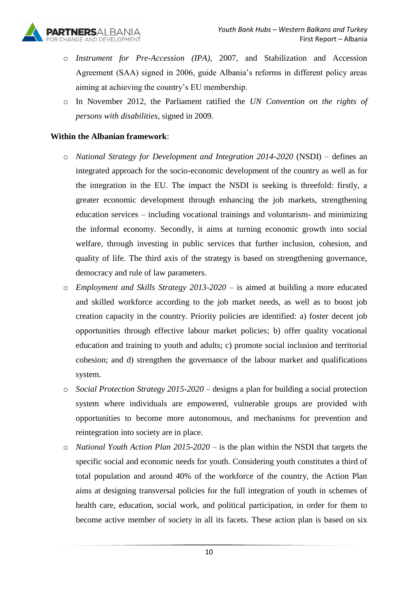- o *Instrument for Pre-Accession (IPA)*, 2007, and Stabilization and Accession Agreement (SAA) signed in 2006, guide Albania's reforms in different policy areas aiming at achieving the country's EU membership.
- o In November 2012, the Parliament ratified the *UN Convention on the rights of persons with disabilities*, signed in 2009.

#### **Within the Albanian framework**:

- o *National Strategy for Development and Integration 2014-2020* (NSDI) defines an integrated approach for the socio-economic development of the country as well as for the integration in the EU. The impact the NSDI is seeking is threefold: firstly, a greater economic development through enhancing the job markets, strengthening education services – including vocational trainings and voluntarism- and minimizing the informal economy. Secondly, it aims at turning economic growth into social welfare, through investing in public services that further inclusion, cohesion, and quality of life. The third axis of the strategy is based on strengthening governance, democracy and rule of law parameters.
- o *Employment and Skills Strategy 2013-2020 –* is aimed at building a more educated and skilled workforce according to the job market needs, as well as to boost job creation capacity in the country. Priority policies are identified: a) foster decent job opportunities through effective labour market policies; b) offer quality vocational education and training to youth and adults; c) promote social inclusion and territorial cohesion; and d) strengthen the governance of the labour market and qualifications system.
- o *Social Protection Strategy 2015-2020 –* designs a plan for building a social protection system where individuals are empowered, vulnerable groups are provided with opportunities to become more autonomous, and mechanisms for prevention and reintegration into society are in place.
- o *National Youth Action Plan 2015-2020 –* is the plan within the NSDI that targets the specific social and economic needs for youth. Considering youth constitutes a third of total population and around 40% of the workforce of the country, the Action Plan aims at designing transversal policies for the full integration of youth in schemes of health care, education, social work, and political participation, in order for them to become active member of society in all its facets. These action plan is based on six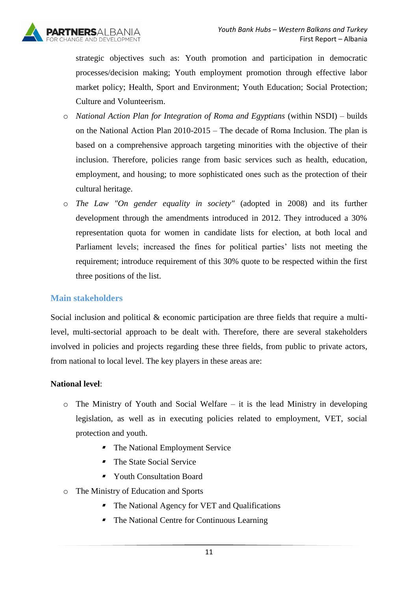strategic objectives such as: Youth promotion and participation in democratic processes/decision making; Youth employment promotion through effective labor market policy; Health, Sport and Environment; Youth Education; Social Protection; Culture and Volunteerism.

- o *National Action Plan for Integration of Roma and Egyptians* (within NSDI) builds on the National Action Plan 2010-2015 – The decade of Roma Inclusion. The plan is based on a comprehensive approach targeting minorities with the objective of their inclusion. Therefore, policies range from basic services such as health, education, employment, and housing; to more sophisticated ones such as the protection of their cultural heritage.
- o *The Law "On gender equality in society"* (adopted in 2008) and its further development through the amendments introduced in 2012. They introduced a 30% representation quota for women in candidate lists for election, at both local and Parliament levels; increased the fines for political parties' lists not meeting the requirement; introduce requirement of this 30% quote to be respected within the first three positions of the list.

#### **Main stakeholders**

Social inclusion and political & economic participation are three fields that require a multilevel, multi-sectorial approach to be dealt with. Therefore, there are several stakeholders involved in policies and projects regarding these three fields, from public to private actors, from national to local level. The key players in these areas are:

#### **National level**:

- o The Ministry of Youth and Social Welfare it is the lead Ministry in developing legislation, as well as in executing policies related to employment, VET, social protection and youth.
	- $\blacksquare$ The National Employment Service
	- The State Social Service
	- Youth Consultation Board
- o The Ministry of Education and Sports
	- The National Agency for VET and Qualifications
	- The National Centre for Continuous Learning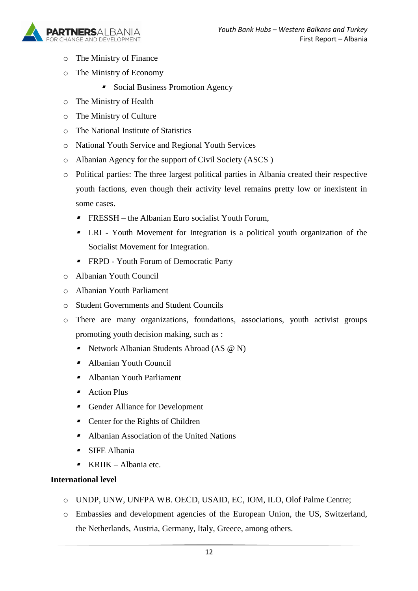

- o The Ministry of Finance
- o The Ministry of Economy
	- **Social Business Promotion Agency**
- o The Ministry of Health
- o The Ministry of Culture
- o The National Institute of Statistics
- o National Youth Service and Regional Youth Services
- o Albanian Agency for the support of Civil Society (ASCS )
- o Political parties: The three largest political parties in Albania created their respective youth factions, even though their activity level remains pretty low or inexistent in some cases.
	- FRESSH **–** the Albanian Euro socialist Youth Forum,
	- LRI Youth Movement for Integration is a political youth organization of the Socialist Movement for Integration.
	- **FRPD** Youth Forum of Democratic Party
- o Albanian Youth Council
- o Albanian Youth Parliament
- o Student Governments and Student Councils
- o There are many organizations, foundations, associations, youth activist groups promoting youth decision making, such as :
	- Network Albanian Students Abroad (AS @ N)
	- Albanian Youth Council
	- Albanian Youth Parliament
	- **Action Plus**
	- **Gender Alliance for Development**
	- $\blacksquare$ Center for the Rights of Children
	- Albanian Association of the United Nations
	- SIFE Albania
	- KRIIK Albania etc.

#### **International level**

- o UNDP, UNW, UNFPA WB. OECD, USAID, EC, IOM, ILO, Olof Palme Centre;
- o Embassies and development agencies of the European Union, the US, Switzerland, the Netherlands, Austria, Germany, Italy, Greece, among others.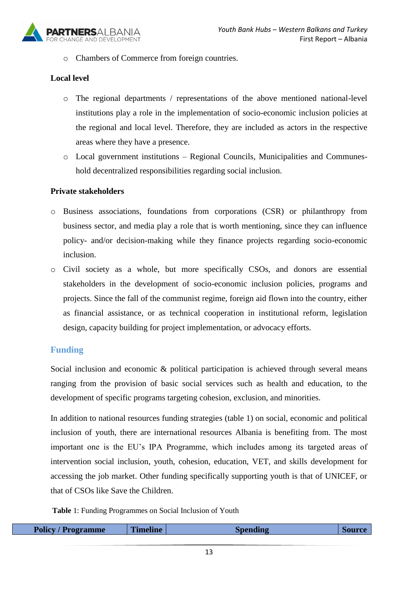

o Chambers of Commerce from foreign countries.

#### **Local level**

- o The regional departments / representations of the above mentioned national-level institutions play a role in the implementation of socio-economic inclusion policies at the regional and local level. Therefore, they are included as actors in the respective areas where they have a presence.
- o Local government institutions Regional Councils, Municipalities and Communeshold decentralized responsibilities regarding social inclusion.

#### **Private stakeholders**

- o Business associations, foundations from corporations (CSR) or philanthropy from business sector, and media play a role that is worth mentioning, since they can influence policy- and/or decision-making while they finance projects regarding socio-economic inclusion.
- o Civil society as a whole, but more specifically CSOs, and donors are essential stakeholders in the development of socio-economic inclusion policies, programs and projects. Since the fall of the communist regime, foreign aid flown into the country, either as financial assistance, or as technical cooperation in institutional reform, legislation design, capacity building for project implementation, or advocacy efforts.

#### **Funding**

Social inclusion and economic & political participation is achieved through several means ranging from the provision of basic social services such as health and education, to the development of specific programs targeting cohesion, exclusion, and minorities.

In addition to national resources funding strategies (table 1) on social, economic and political inclusion of youth, there are international resources Albania is benefiting from. The most important one is the EU's IPA Programme, which includes among its targeted areas of intervention social inclusion, youth, cohesion, education, VET, and skills development for accessing the job market. Other funding specifically supporting youth is that of UNICEF, or that of CSOs like Save the Children.

**Table** 1: Funding Programmes on Social Inclusion of Youth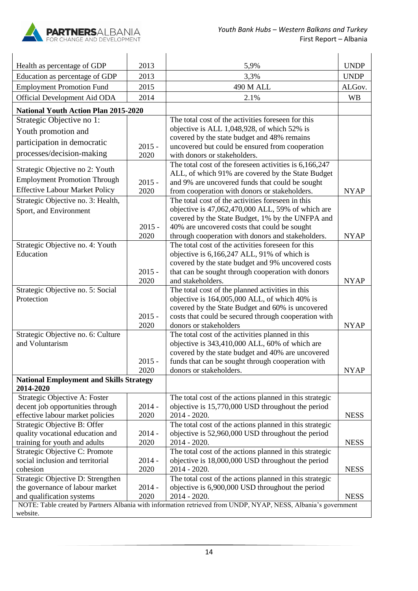

| Health as percentage of GDP                                          | 2013             | 5,9%                                                                                                           | <b>UNDP</b> |
|----------------------------------------------------------------------|------------------|----------------------------------------------------------------------------------------------------------------|-------------|
| Education as percentage of GDP                                       | 2013             | 3,3%                                                                                                           | <b>UNDP</b> |
| <b>Employment Promotion Fund</b>                                     | 2015             | 490 M ALL                                                                                                      | ALGov.      |
| Official Development Aid ODA                                         | 2014             | 2.1%                                                                                                           | <b>WB</b>   |
| <b>National Youth Action Plan 2015-2020</b>                          |                  |                                                                                                                |             |
| Strategic Objective no 1:                                            |                  | The total cost of the activities foreseen for this                                                             |             |
| Youth promotion and                                                  |                  | objective is ALL 1,048,928, of which 52% is                                                                    |             |
|                                                                      |                  | covered by the state budget and 48% remains                                                                    |             |
| participation in democratic                                          | $2015 -$         | uncovered but could be ensured from cooperation                                                                |             |
| processes/decision-making                                            | 2020             | with donors or stakeholders.                                                                                   |             |
| Strategic Objective no 2: Youth                                      |                  | The total cost of the foreseen activities is 6,166,247                                                         |             |
| <b>Employment Promotion Through</b>                                  |                  | ALL, of which 91% are covered by the State Budget                                                              |             |
| <b>Effective Labour Market Policy</b>                                | $2015 -$<br>2020 | and 9% are uncovered funds that could be sought                                                                | <b>NYAP</b> |
|                                                                      |                  | from cooperation with donors or stakeholders.<br>The total cost of the activities foreseen in this             |             |
| Strategic Objective no. 3: Health,                                   |                  | objective is 47,062,470,000 ALL, 59% of which are                                                              |             |
| Sport, and Environment                                               |                  | covered by the State Budget, 1% by the UNFPA and                                                               |             |
|                                                                      | $2015 -$         | 40% are uncovered costs that could be sought                                                                   |             |
|                                                                      | 2020             | through cooperation with donors and stakeholders.                                                              | <b>NYAP</b> |
| Strategic Objective no. 4: Youth                                     |                  | The total cost of the activities foreseen for this                                                             |             |
| Education                                                            |                  | objective is 6,166,247 ALL, 91% of which is                                                                    |             |
|                                                                      |                  | covered by the state budget and 9% uncovered costs                                                             |             |
|                                                                      | $2015 -$         | that can be sought through cooperation with donors                                                             |             |
|                                                                      | 2020             | and stakeholders.                                                                                              | <b>NYAP</b> |
| Strategic Objective no. 5: Social                                    |                  | The total cost of the planned activities in this                                                               |             |
| Protection                                                           |                  | objective is 164,005,000 ALL, of which 40% is                                                                  |             |
|                                                                      |                  | covered by the State Budget and 60% is uncovered                                                               |             |
|                                                                      | $2015 -$         | costs that could be secured through cooperation with                                                           |             |
|                                                                      | 2020             | donors or stakeholders                                                                                         | <b>NYAP</b> |
| Strategic Objective no. 6: Culture<br>and Voluntarism                |                  | The total cost of the activities planned in this<br>objective is 343,410,000 ALL, 60% of which are             |             |
|                                                                      |                  | covered by the state budget and 40% are uncovered                                                              |             |
|                                                                      | $2015 -$         | funds that can be sought through cooperation with                                                              |             |
|                                                                      | 2020             | donors or stakeholders.                                                                                        | <b>NYAP</b> |
| <b>National Employment and Skills Strategy</b>                       |                  |                                                                                                                |             |
| 2014-2020                                                            |                  |                                                                                                                |             |
| Strategic Objective A: Foster                                        |                  | The total cost of the actions planned in this strategic                                                        |             |
| decent job opportunities through                                     | $2014 -$         | objective is 15,770,000 USD throughout the period                                                              |             |
| effective labour market policies                                     | 2020             | 2014 - 2020.                                                                                                   | <b>NESS</b> |
| Strategic Objective B: Offer                                         |                  | The total cost of the actions planned in this strategic                                                        |             |
| quality vocational education and                                     | $2014 -$         | objective is 52,960,000 USD throughout the period                                                              |             |
| training for youth and adults                                        | 2020             | 2014 - 2020.                                                                                                   | <b>NESS</b> |
| Strategic Objective C: Promote                                       |                  | The total cost of the actions planned in this strategic                                                        |             |
| social inclusion and territorial                                     | $2014 -$         | objective is 18,000,000 USD throughout the period                                                              |             |
| cohesion                                                             | 2020             | 2014 - 2020.                                                                                                   | <b>NESS</b> |
| Strategic Objective D: Strengthen<br>the governance of labour market | $2014 -$         | The total cost of the actions planned in this strategic                                                        |             |
| and qualification systems                                            | 2020             | objective is 6,900,000 USD throughout the period<br>2014 - 2020.                                               | <b>NESS</b> |
|                                                                      |                  | NOTE: Table created by Partners Albania with information retrieved from UNDP, NYAP, NESS, Albania's government |             |
| website.                                                             |                  |                                                                                                                |             |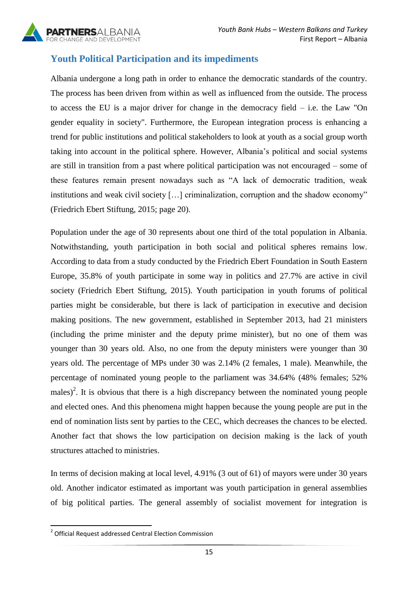

## <span id="page-14-0"></span>**Youth Political Participation and its impediments**

Albania undergone a long path in order to enhance the democratic standards of the country. The process has been driven from within as well as influenced from the outside. The process to access the EU is a major driver for change in the democracy field – i.e. the Law "On gender equality in society". Furthermore, the European integration process is enhancing a trend for public institutions and political stakeholders to look at youth as a social group worth taking into account in the political sphere. However, Albania's political and social systems are still in transition from a past where political participation was not encouraged – some of these features remain present nowadays such as "A lack of democratic tradition, weak institutions and weak civil society […] criminalization, corruption and the shadow economy" (Friedrich Ebert Stiftung, 2015; page 20).

Population under the age of 30 represents about one third of the total population in Albania. Notwithstanding, youth participation in both social and political spheres remains low. According to data from a study conducted by the Friedrich Ebert Foundation in South Eastern Europe, 35.8% of youth participate in some way in politics and 27.7% are active in civil society (Friedrich Ebert Stiftung, 2015). Youth participation in youth forums of political parties might be considerable, but there is lack of participation in executive and decision making positions. The new government, established in September 2013, had 21 ministers (including the prime minister and the deputy prime minister), but no one of them was younger than 30 years old. Also, no one from the deputy ministers were younger than 30 years old. The percentage of MPs under 30 was 2.14% (2 females, 1 male). Meanwhile, the percentage of nominated young people to the parliament was 34.64% (48% females; 52% males)<sup>2</sup>. It is obvious that there is a high discrepancy between the nominated young people and elected ones. And this phenomena might happen because the young people are put in the end of nomination lists sent by parties to the CEC, which decreases the chances to be elected. Another fact that shows the low participation on decision making is the lack of youth structures attached to ministries.

In terms of decision making at local level, 4.91% (3 out of 61) of mayors were under 30 years old. Another indicator estimated as important was youth participation in general assemblies of big political parties. The general assembly of socialist movement for integration is

 2 Official Request addressed Central Election Commission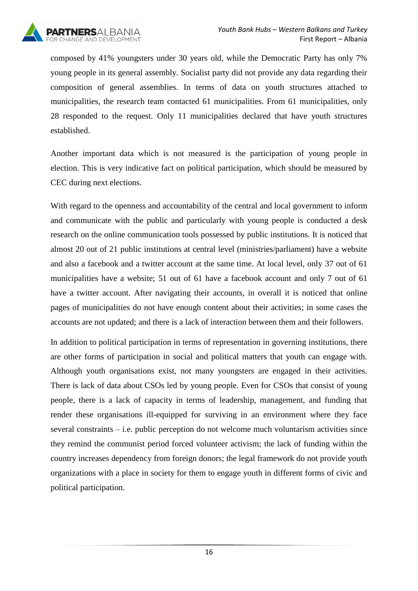

composed by 41% youngsters under 30 years old, while the Democratic Party has only 7% young people in its general assembly. Socialist party did not provide any data regarding their composition of general assemblies. In terms of data on youth structures attached to municipalities, the research team contacted 61 municipalities. From 61 municipalities, only 28 responded to the request. Only 11 municipalities declared that have youth structures established.

Another important data which is not measured is the participation of young people in election. This is very indicative fact on political participation, which should be measured by CEC during next elections.

With regard to the openness and accountability of the central and local government to inform and communicate with the public and particularly with young people is conducted a desk research on the online communication tools possessed by public institutions. It is noticed that almost 20 out of 21 public institutions at central level (ministries/parliament) have a website and also a facebook and a twitter account at the same time. At local level, only 37 out of 61 municipalities have a website; 51 out of 61 have a facebook account and only 7 out of 61 have a twitter account. After navigating their accounts, in overall it is noticed that online pages of municipalities do not have enough content about their activities; in some cases the accounts are not updated; and there is a lack of interaction between them and their followers.

In addition to political participation in terms of representation in governing institutions, there are other forms of participation in social and political matters that youth can engage with. Although youth organisations exist, not many youngsters are engaged in their activities. There is lack of data about CSOs led by young people. Even for CSOs that consist of young people, there is a lack of capacity in terms of leadership, management, and funding that render these organisations ill-equipped for surviving in an environment where they face several constraints – i.e. public perception do not welcome much voluntarism activities since they remind the communist period forced volunteer activism; the lack of funding within the country increases dependency from foreign donors; the legal framework do not provide youth organizations with a place in society for them to engage youth in different forms of civic and political participation.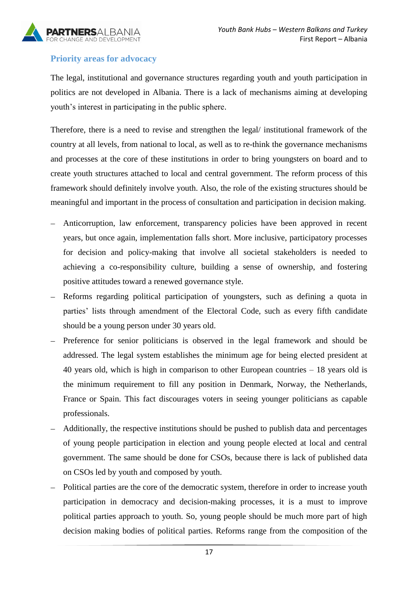

## <span id="page-16-0"></span>**Priority areas for advocacy**

The legal, institutional and governance structures regarding youth and youth participation in politics are not developed in Albania. There is a lack of mechanisms aiming at developing youth's interest in participating in the public sphere.

Therefore, there is a need to revise and strengthen the legal/ institutional framework of the country at all levels, from national to local, as well as to re-think the governance mechanisms and processes at the core of these institutions in order to bring youngsters on board and to create youth structures attached to local and central government. The reform process of this framework should definitely involve youth. Also, the role of the existing structures should be meaningful and important in the process of consultation and participation in decision making.

- Anticorruption, law enforcement, transparency policies have been approved in recent years, but once again, implementation falls short. More inclusive, participatory processes for decision and policy-making that involve all societal stakeholders is needed to achieving a co-responsibility culture, building a sense of ownership, and fostering positive attitudes toward a renewed governance style.
- Reforms regarding political participation of youngsters, such as defining a quota in  $\equiv$ parties' lists through amendment of the Electoral Code, such as every fifth candidate should be a young person under 30 years old.
- $\equiv$ Preference for senior politicians is observed in the legal framework and should be addressed. The legal system establishes the minimum age for being elected president at 40 years old, which is high in comparison to other European countries – 18 years old is the minimum requirement to fill any position in Denmark, Norway, the Netherlands, France or Spain. This fact discourages voters in seeing younger politicians as capable professionals.
- Additionally, the respective institutions should be pushed to publish data and percentages of young people participation in election and young people elected at local and central government. The same should be done for CSOs, because there is lack of published data on CSOs led by youth and composed by youth.
- Political parties are the core of the democratic system, therefore in order to increase youth participation in democracy and decision-making processes, it is a must to improve political parties approach to youth. So, young people should be much more part of high decision making bodies of political parties. Reforms range from the composition of the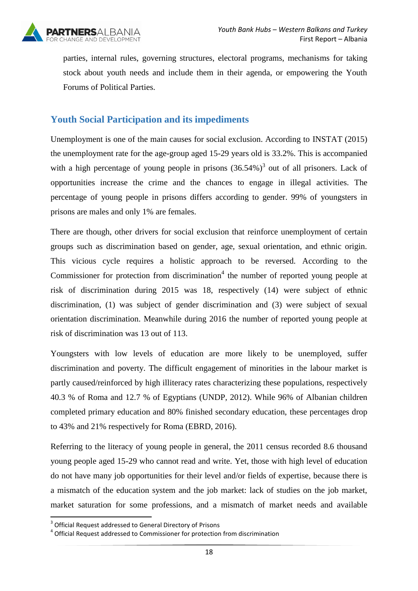

parties, internal rules, governing structures, electoral programs, mechanisms for taking stock about youth needs and include them in their agenda, or empowering the Youth Forums of Political Parties.

## <span id="page-17-0"></span>**Youth Social Participation and its impediments**

Unemployment is one of the main causes for social exclusion. According to INSTAT (2015) the unemployment rate for the age-group aged 15-29 years old is 33.2%. This is accompanied with a high percentage of young people in prisons  $(36.54\%)$ <sup>3</sup> out of all prisoners. Lack of opportunities increase the crime and the chances to engage in illegal activities. The percentage of young people in prisons differs according to gender. 99% of youngsters in prisons are males and only 1% are females.

There are though, other drivers for social exclusion that reinforce unemployment of certain groups such as discrimination based on gender, age, sexual orientation, and ethnic origin. This vicious cycle requires a holistic approach to be reversed. According to the Commissioner for protection from discrimination $4$  the number of reported young people at risk of discrimination during 2015 was 18, respectively (14) were subject of ethnic discrimination, (1) was subject of gender discrimination and (3) were subject of sexual orientation discrimination. Meanwhile during 2016 the number of reported young people at risk of discrimination was 13 out of 113.

Youngsters with low levels of education are more likely to be unemployed, suffer discrimination and poverty. The difficult engagement of minorities in the labour market is partly caused/reinforced by high illiteracy rates characterizing these populations, respectively 40.3 % of Roma and 12.7 % of Egyptians (UNDP, 2012). While 96% of Albanian children completed primary education and 80% finished secondary education, these percentages drop to 43% and 21% respectively for Roma (EBRD, 2016).

Referring to the literacy of young people in general, the 2011 census recorded 8.6 thousand young people aged 15-29 who cannot read and write. Yet, those with high level of education do not have many job opportunities for their level and/or fields of expertise, because there is a mismatch of the education system and the job market: lack of studies on the job market, market saturation for some professions, and a mismatch of market needs and available

 3 Official Request addressed to General Directory of Prisons

<sup>&</sup>lt;sup>4</sup> Official Request addressed to Commissioner for protection from discrimination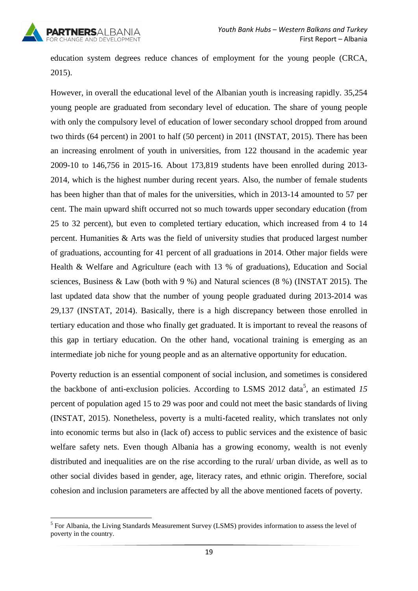

education system degrees reduce chances of employment for the young people (CRCA, 2015).

However, in overall the educational level of the Albanian youth is increasing rapidly. 35,254 young people are graduated from secondary level of education. The share of young people with only the compulsory level of education of lower secondary school dropped from around two thirds (64 percent) in 2001 to half (50 percent) in 2011 (INSTAT, 2015). There has been an increasing enrolment of youth in universities, from 122 thousand in the academic year 2009-10 to 146,756 in 2015-16. About 173,819 students have been enrolled during 2013- 2014, which is the highest number during recent years. Also, the number of female students has been higher than that of males for the universities, which in 2013-14 amounted to 57 per cent. The main upward shift occurred not so much towards upper secondary education (from 25 to 32 percent), but even to completed tertiary education, which increased from 4 to 14 percent. Humanities & Arts was the field of university studies that produced largest number of graduations, accounting for 41 percent of all graduations in 2014. Other major fields were Health & Welfare and Agriculture (each with 13 % of graduations), Education and Social sciences, Business & Law (both with 9 %) and Natural sciences (8 %) (INSTAT 2015). The last updated data show that the number of young people graduated during 2013-2014 was 29,137 (INSTAT, 2014). Basically, there is a high discrepancy between those enrolled in tertiary education and those who finally get graduated. It is important to reveal the reasons of this gap in tertiary education. On the other hand, vocational training is emerging as an intermediate job niche for young people and as an alternative opportunity for education.

Poverty reduction is an essential component of social inclusion, and sometimes is considered the backbone of anti-exclusion policies. According to LSMS 2012 data<sup>5</sup>, an estimated  $15$ percent of population aged 15 to 29 was poor and could not meet the basic standards of living (INSTAT, 2015). Nonetheless, poverty is a multi-faceted reality, which translates not only into economic terms but also in (lack of) access to public services and the existence of basic welfare safety nets. Even though Albania has a growing economy, wealth is not evenly distributed and inequalities are on the rise according to the rural/ urban divide, as well as to other social divides based in gender, age, literacy rates, and ethnic origin. Therefore, social cohesion and inclusion parameters are affected by all the above mentioned facets of poverty.

<sup>1</sup> <sup>5</sup> For Albania, the Living Standards Measurement Survey (LSMS) provides information to assess the level of poverty in the country.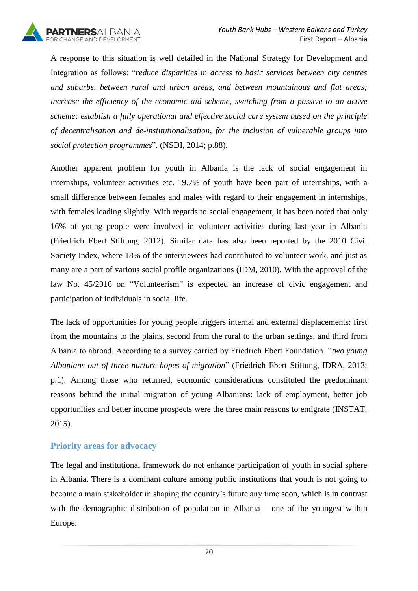

A response to this situation is well detailed in the National Strategy for Development and Integration as follows: "*reduce disparities in access to basic services between city centres and suburbs, between rural and urban areas, and between mountainous and flat areas; increase the efficiency of the economic aid scheme, switching from a passive to an active scheme; establish a fully operational and effective social care system based on the principle of decentralisation and de-institutionalisation, for the inclusion of vulnerable groups into social protection programmes*". (NSDI, 2014; p.88).

Another apparent problem for youth in Albania is the lack of social engagement in internships, volunteer activities etc. 19.7% of youth have been part of internships, with a small difference between females and males with regard to their engagement in internships, with females leading slightly. With regards to social engagement, it has been noted that only 16% of young people were involved in volunteer activities during last year in Albania (Friedrich Ebert Stiftung, 2012). Similar data has also been reported by the 2010 Civil Society Index, where 18% of the interviewees had contributed to volunteer work, and just as many are a part of various social profile organizations (IDM, 2010). With the approval of the law No. 45/2016 on "Volunteerism" is expected an increase of civic engagement and participation of individuals in social life.

The lack of opportunities for young people triggers internal and external displacements: first from the mountains to the plains, second from the rural to the urban settings, and third from Albania to abroad. According to a survey carried by Friedrich Ebert Foundation "*two young Albanians out of three nurture hopes of migration*" (Friedrich Ebert Stiftung, IDRA, 2013; p.1). Among those who returned, economic considerations constituted the predominant reasons behind the initial migration of young Albanians: lack of employment, better job opportunities and better income prospects were the three main reasons to emigrate (INSTAT, 2015).

#### <span id="page-19-0"></span>**Priority areas for advocacy**

The legal and institutional framework do not enhance participation of youth in social sphere in Albania. There is a dominant culture among public institutions that youth is not going to become a main stakeholder in shaping the country's future any time soon, which is in contrast with the demographic distribution of population in Albania – one of the youngest within Europe.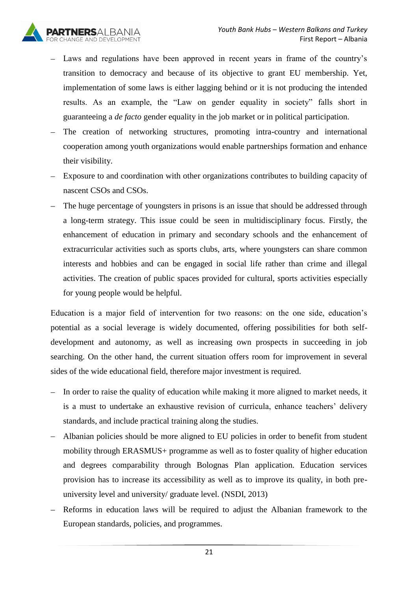

- Laws and regulations have been approved in recent years in frame of the country's transition to democracy and because of its objective to grant EU membership. Yet, implementation of some laws is either lagging behind or it is not producing the intended results. As an example, the "Law on gender equality in society" falls short in guaranteeing a *de facto* gender equality in the job market or in political participation.
- The creation of networking structures, promoting intra-country and international cooperation among youth organizations would enable partnerships formation and enhance their visibility.
- Exposure to and coordination with other organizations contributes to building capacity of nascent CSOs and CSOs.
- The huge percentage of youngsters in prisons is an issue that should be addressed through a long-term strategy. This issue could be seen in multidisciplinary focus. Firstly, the enhancement of education in primary and secondary schools and the enhancement of extracurricular activities such as sports clubs, arts, where youngsters can share common interests and hobbies and can be engaged in social life rather than crime and illegal activities. The creation of public spaces provided for cultural, sports activities especially for young people would be helpful.

Education is a major field of intervention for two reasons: on the one side, education's potential as a social leverage is widely documented, offering possibilities for both selfdevelopment and autonomy, as well as increasing own prospects in succeeding in job searching. On the other hand, the current situation offers room for improvement in several sides of the wide educational field, therefore major investment is required.

- In order to raise the quality of education while making it more aligned to market needs, it is a must to undertake an exhaustive revision of curricula, enhance teachers' delivery standards, and include practical training along the studies.
- Albanian policies should be more aligned to EU policies in order to benefit from student  $\equiv$ mobility through ERASMUS+ programme as well as to foster quality of higher education and degrees comparability through Bolognas Plan application. Education services provision has to increase its accessibility as well as to improve its quality, in both preuniversity level and university/ graduate level. (NSDI, 2013)
- Reforms in education laws will be required to adjust the Albanian framework to the European standards, policies, and programmes.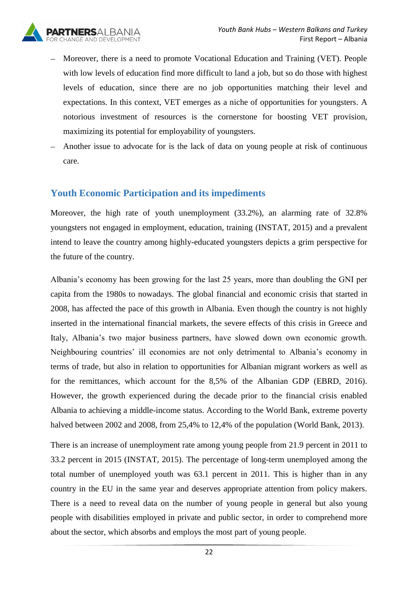

- Moreover, there is a need to promote Vocational Education and Training (VET). People with low levels of education find more difficult to land a job, but so do those with highest levels of education, since there are no job opportunities matching their level and expectations. In this context, VET emerges as a niche of opportunities for youngsters. A notorious investment of resources is the cornerstone for boosting VET provision, maximizing its potential for employability of youngsters.
- Another issue to advocate for is the lack of data on young people at risk of continuous care.

### <span id="page-21-0"></span>**Youth Economic Participation and its impediments**

Moreover, the high rate of youth unemployment (33.2%), an alarming rate of 32.8% youngsters not engaged in employment, education, training (INSTAT, 2015) and a prevalent intend to leave the country among highly-educated youngsters depicts a grim perspective for the future of the country.

Albania's economy has been growing for the last 25 years, more than doubling the GNI per capita from the 1980s to nowadays. The global financial and economic crisis that started in 2008, has affected the pace of this growth in Albania. Even though the country is not highly inserted in the international financial markets, the severe effects of this crisis in Greece and Italy, Albania's two major business partners, have slowed down own economic growth. Neighbouring countries' ill economies are not only detrimental to Albania's economy in terms of trade, but also in relation to opportunities for Albanian migrant workers as well as for the remittances, which account for the 8,5% of the Albanian GDP (EBRD, 2016). However, the growth experienced during the decade prior to the financial crisis enabled Albania to achieving a middle-income status. According to the World Bank, extreme poverty halved between 2002 and 2008, from 25,4% to 12,4% of the population (World Bank, 2013).

There is an increase of unemployment rate among young people from 21.9 percent in 2011 to 33.2 percent in 2015 (INSTAT, 2015). The percentage of long-term unemployed among the total number of unemployed youth was 63.1 percent in 2011. This is higher than in any country in the EU in the same year and deserves appropriate attention from policy makers. There is a need to reveal data on the number of young people in general but also young people with disabilities employed in private and public sector, in order to comprehend more about the sector, which absorbs and employs the most part of young people.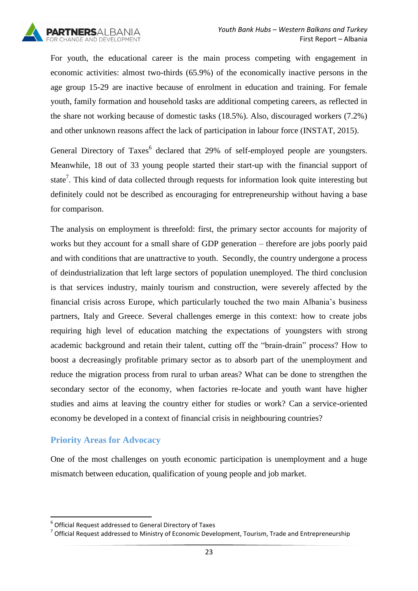

For youth, the educational career is the main process competing with engagement in economic activities: almost two-thirds (65.9%) of the economically inactive persons in the age group 15-29 are inactive because of enrolment in education and training. For female youth, family formation and household tasks are additional competing careers, as reflected in the share not working because of domestic tasks (18.5%). Also, discouraged workers (7.2%) and other unknown reasons affect the lack of participation in labour force (INSTAT, 2015).

General Directory of Taxes<sup>6</sup> declared that 29% of self-employed people are youngsters. Meanwhile, 18 out of 33 young people started their start-up with the financial support of state<sup>7</sup>. This kind of data collected through requests for information look quite interesting but definitely could not be described as encouraging for entrepreneurship without having a base for comparison.

The analysis on employment is threefold: first, the primary sector accounts for majority of works but they account for a small share of GDP generation – therefore are jobs poorly paid and with conditions that are unattractive to youth. Secondly, the country undergone a process of deindustrialization that left large sectors of population unemployed. The third conclusion is that services industry, mainly tourism and construction, were severely affected by the financial crisis across Europe, which particularly touched the two main Albania's business partners, Italy and Greece. Several challenges emerge in this context: how to create jobs requiring high level of education matching the expectations of youngsters with strong academic background and retain their talent, cutting off the "brain-drain" process? How to boost a decreasingly profitable primary sector as to absorb part of the unemployment and reduce the migration process from rural to urban areas? What can be done to strengthen the secondary sector of the economy, when factories re-locate and youth want have higher studies and aims at leaving the country either for studies or work? Can a service-oriented economy be developed in a context of financial crisis in neighbouring countries?

#### <span id="page-22-0"></span>**Priority Areas for Advocacy**

 $\overline{a}$ 

One of the most challenges on youth economic participation is unemployment and a huge mismatch between education, qualification of young people and job market.

 $^6$  Official Request addressed to General Directory of Taxes

 $^7$  Official Request addressed to Ministry of Economic Development, Tourism, Trade and Entrepreneurship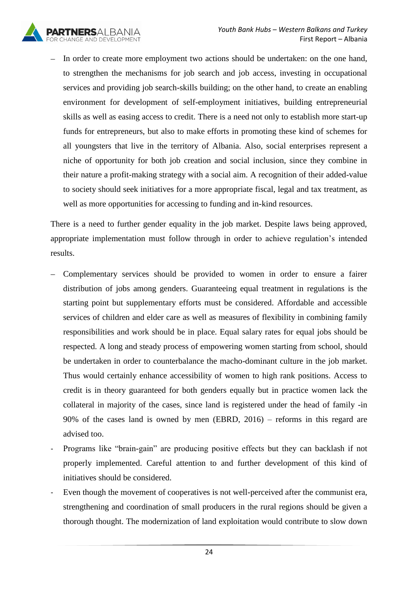

In order to create more employment two actions should be undertaken: on the one hand,  $\equiv$ to strengthen the mechanisms for job search and job access, investing in occupational services and providing job search-skills building; on the other hand, to create an enabling environment for development of self-employment initiatives, building entrepreneurial skills as well as easing access to credit. There is a need not only to establish more start-up funds for entrepreneurs, but also to make efforts in promoting these kind of schemes for all youngsters that live in the territory of Albania. Also, social enterprises represent a niche of opportunity for both job creation and social inclusion, since they combine in their nature a profit-making strategy with a social aim. A recognition of their added-value to society should seek initiatives for a more appropriate fiscal, legal and tax treatment, as well as more opportunities for accessing to funding and in-kind resources.

There is a need to further gender equality in the job market. Despite laws being approved, appropriate implementation must follow through in order to achieve regulation's intended results.

- Complementary services should be provided to women in order to ensure a fairer distribution of jobs among genders. Guaranteeing equal treatment in regulations is the starting point but supplementary efforts must be considered. Affordable and accessible services of children and elder care as well as measures of flexibility in combining family responsibilities and work should be in place. Equal salary rates for equal jobs should be respected. A long and steady process of empowering women starting from school, should be undertaken in order to counterbalance the macho-dominant culture in the job market. Thus would certainly enhance accessibility of women to high rank positions. Access to credit is in theory guaranteed for both genders equally but in practice women lack the collateral in majority of the cases, since land is registered under the head of family -in 90% of the cases land is owned by men (EBRD, 2016) – reforms in this regard are advised too.
- Programs like "brain-gain" are producing positive effects but they can backlash if not properly implemented. Careful attention to and further development of this kind of initiatives should be considered.
- Even though the movement of cooperatives is not well-perceived after the communist era, strengthening and coordination of small producers in the rural regions should be given a thorough thought. The modernization of land exploitation would contribute to slow down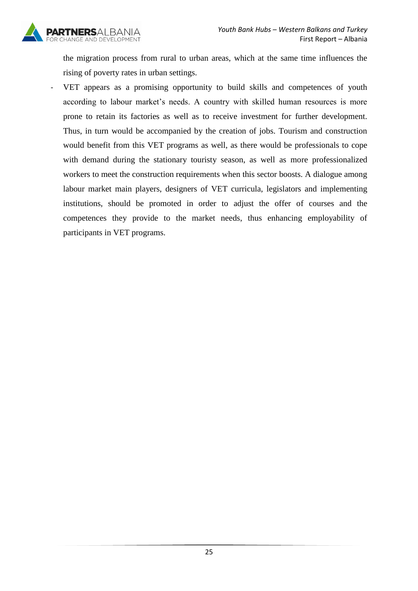

the migration process from rural to urban areas, which at the same time influences the rising of poverty rates in urban settings.

<span id="page-24-0"></span>VET appears as a promising opportunity to build skills and competences of youth according to labour market's needs. A country with skilled human resources is more prone to retain its factories as well as to receive investment for further development. Thus, in turn would be accompanied by the creation of jobs. Tourism and construction would benefit from this VET programs as well, as there would be professionals to cope with demand during the stationary touristy season, as well as more professionalized workers to meet the construction requirements when this sector boosts. A dialogue among labour market main players, designers of VET curricula, legislators and implementing institutions, should be promoted in order to adjust the offer of courses and the competences they provide to the market needs, thus enhancing employability of participants in VET programs.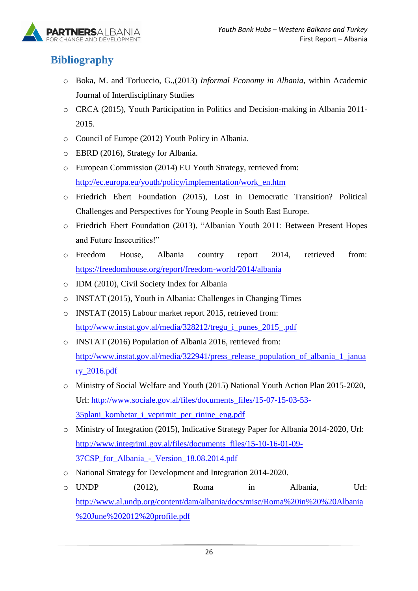

## **Bibliography**

- o Boka, M. and Torluccio, G.,(2013) *Informal Economy in Albania*, within Academic Journal of Interdisciplinary Studies
- o CRCA (2015), Youth Participation in Politics and Decision-making in Albania 2011- 2015.
- o Council of Europe (2012) Youth Policy in Albania.
- o EBRD (2016), Strategy for Albania.
- o European Commission (2014) EU Youth Strategy, retrieved from: [http://ec.europa.eu/youth/policy/implementation/work\\_en.htm](http://ec.europa.eu/youth/policy/implementation/work_en.htm)
- o Friedrich Ebert Foundation (2015), Lost in Democratic Transition? Political Challenges and Perspectives for Young People in South East Europe.
- o Friedrich Ebert Foundation (2013), "Albanian Youth 2011: Between Present Hopes and Future Insecurities!"
- o Freedom House, Albania country report 2014, retrieved from: <https://freedomhouse.org/report/freedom-world/2014/albania>
- o IDM (2010), Civil Society Index for Albania
- o INSTAT (2015), Youth in Albania: Challenges in Changing Times
- o INSTAT (2015) Labour market report 2015, retrieved from: [http://www.instat.gov.al/media/328212/tregu\\_i\\_punes\\_2015\\_.pdf](http://www.instat.gov.al/media/328212/tregu_i_punes_2015_.pdf)
- o INSTAT (2016) Population of Albania 2016, retrieved from: [http://www.instat.gov.al/media/322941/press\\_release\\_population\\_of\\_albania\\_1\\_janua](http://www.instat.gov.al/media/322941/press_release_population_of_albania_1_january_2016.pdf) [ry\\_2016.pdf](http://www.instat.gov.al/media/322941/press_release_population_of_albania_1_january_2016.pdf)
- o Ministry of Social Welfare and Youth (2015) National Youth Action Plan 2015-2020, Url: [http://www.sociale.gov.al/files/documents\\_files/15-07-15-03-53-](http://www.sociale.gov.al/files/documents_files/15-07-15-03-53-35plani_kombetar_i_veprimit_per_rinine_eng.pdf) [35plani\\_kombetar\\_i\\_veprimit\\_per\\_rinine\\_eng.pdf](http://www.sociale.gov.al/files/documents_files/15-07-15-03-53-35plani_kombetar_i_veprimit_per_rinine_eng.pdf)
- o Ministry of Integration (2015), Indicative Strategy Paper for Albania 2014-2020, Url: [http://www.integrimi.gov.al/files/documents\\_files/15-10-16-01-09-](http://www.integrimi.gov.al/files/documents_files/15-10-16-01-09-37CSP_for_Albania_-_Version_18.08.2014.pdf) [37CSP\\_for\\_Albania\\_-\\_Version\\_18.08.2014.pdf](http://www.integrimi.gov.al/files/documents_files/15-10-16-01-09-37CSP_for_Albania_-_Version_18.08.2014.pdf)
- o National Strategy for Development and Integration 2014-2020.
- o UNDP (2012), Roma in Albania, Url: [http://www.al.undp.org/content/dam/albania/docs/misc/Roma%20in%20%20Albania](http://www.al.undp.org/content/dam/albania/docs/misc/Roma%20in%20%20Albania%20June%202012%20profile.pdf) [%20June%202012%20profile.pdf](http://www.al.undp.org/content/dam/albania/docs/misc/Roma%20in%20%20Albania%20June%202012%20profile.pdf)